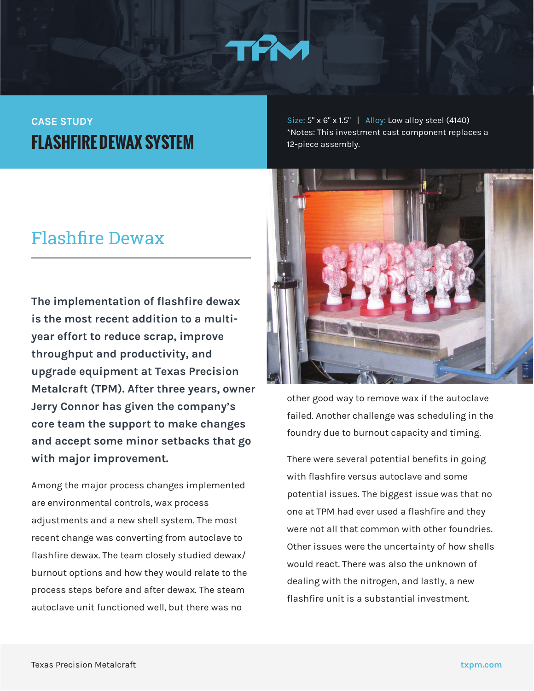

### **CASE STUDY FLASHFIRE DEWAX SYSTEM**

### Flashfire Dewax

**The implementation of flashfire dewax is the most recent addition to a multiyear effort to reduce scrap, improve throughput and productivity, and upgrade equipment at Texas Precision Metalcraft (TPM). After three years, owner Jerry Connor has given the company's core team the support to make changes and accept some minor setbacks that go with major improvement.** 

Among the major process changes implemented are environmental controls, wax process adjustments and a new shell system. The most recent change was converting from autoclave to flashfire dewax. The team closely studied dewax/ burnout options and how they would relate to the process steps before and after dewax. The steam autoclave unit functioned well, but there was no

Size: 5" x 6" x 1.5" | Alloy: Low alloy steel (4140) \*Notes: This investment cast component replaces a 12-piece assembly.



other good way to remove wax if the autoclave failed. Another challenge was scheduling in the foundry due to burnout capacity and timing.

There were several potential benefits in going with flashfire versus autoclave and some potential issues. The biggest issue was that no one at TPM had ever used a flashfire and they were not all that common with other foundries. Other issues were the uncertainty of how shells would react. There was also the unknown of dealing with the nitrogen, and lastly, a new flashfire unit is a substantial investment.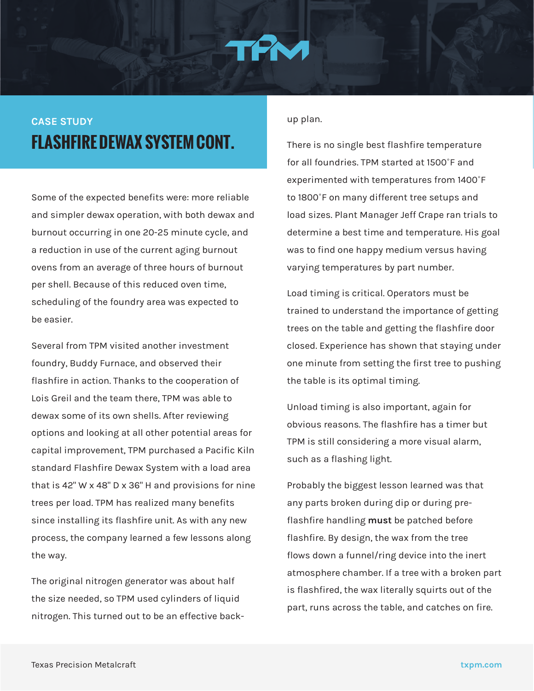# **CASE STUDY FLASHFIRE DEWAX SYSTEM CONT.**

Some of the expected benefits were: more reliable and simpler dewax operation, with both dewax and burnout occurring in one 20-25 minute cycle, and a reduction in use of the current aging burnout ovens from an average of three hours of burnout per shell. Because of this reduced oven time, scheduling of the foundry area was expected to be easier.

Several from TPM visited another investment foundry, Buddy Furnace, and observed their flashfire in action. Thanks to the cooperation of Lois Greil and the team there, TPM was able to dewax some of its own shells. After reviewing options and looking at all other potential areas for capital improvement, TPM purchased a Pacific Kiln standard Flashfire Dewax System with a load area that is 42" W x 48" D x 36" H and provisions for nine trees per load. TPM has realized many benefits since installing its flashfire unit. As with any new process, the company learned a few lessons along the way.

The original nitrogen generator was about half the size needed, so TPM used cylinders of liquid nitrogen. This turned out to be an effective backup plan.

There is no single best flashfire temperature for all foundries. TPM started at 1500˚F and experimented with temperatures from 1400˚F to 1800˚F on many different tree setups and load sizes. Plant Manager Jeff Crape ran trials to determine a best time and temperature. His goal was to find one happy medium versus having varying temperatures by part number.

Load timing is critical. Operators must be trained to understand the importance of getting trees on the table and getting the flashfire door closed. Experience has shown that staying under one minute from setting the first tree to pushing the table is its optimal timing.

Unload timing is also important, again for obvious reasons. The flashfire has a timer but TPM is still considering a more visual alarm, such as a flashing light.

Probably the biggest lesson learned was that any parts broken during dip or during preflashfire handling **must** be patched before flashfire. By design, the wax from the tree flows down a funnel/ring device into the inert atmosphere chamber. If a tree with a broken part is flashfired, the wax literally squirts out of the part, runs across the table, and catches on fire.